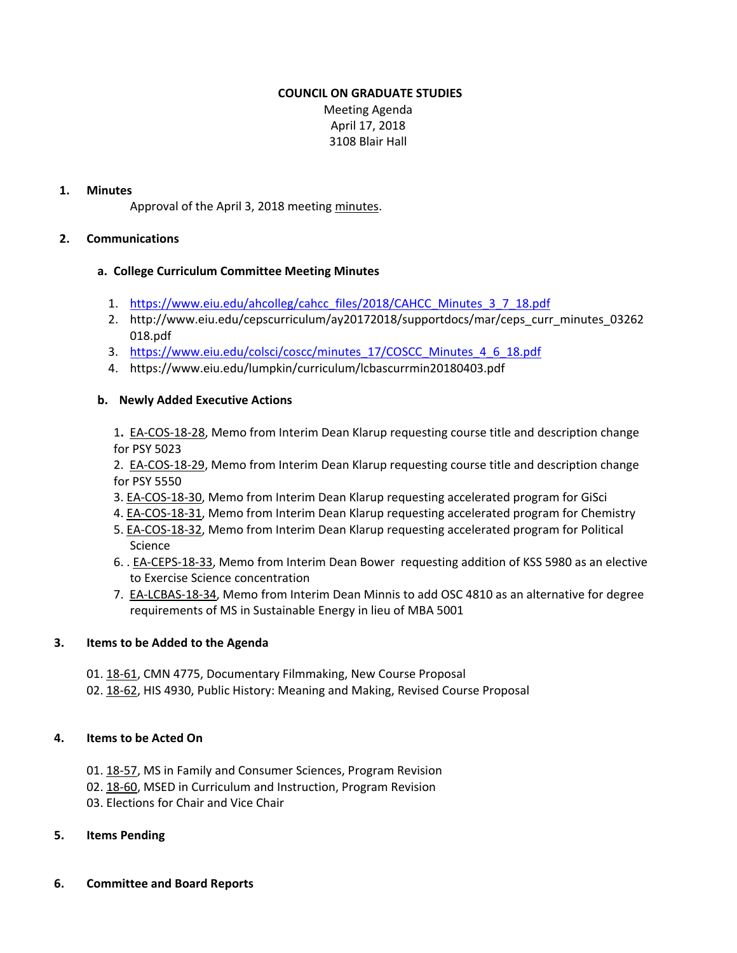# **COUNCIL ON GRADUATE STUDIES**

Meeting Agenda April 17, 2018 3108 Blair Hall

# **1. Minutes**

Approval of the April 3, 2018 meeting [minutes.](http://castle.eiu.edu/eiucgs/currentminutes/Minutes04-03-18.pdf)

### **2. Communications**

### **a. College Curriculum Committee Meeting Minutes**

- 1. [https://www.eiu.edu/ahcolleg/cahcc\\_files/2018/CAHCC\\_Minutes\\_3\\_7\\_18.pdf](1.	https://www.eiu.edu/ahcolleg/cahcc_files/2018/CAHCC_Minutes_3_7_18.pdf)
- 2. [http://www.eiu.edu/cepscurriculum/ay20172018/supportdocs/mar/ceps\\_curr\\_minutes\\_03262](http://www.eiu.edu/cepscurriculum/ay20172018/supportdocs/mar/ceps_curr_minutes_03262018.pdf) 018.pdf
- 3. [https://www.eiu.edu/colsci/coscc/minutes\\_17/COSCC\\_Minutes\\_4\\_6\\_18.pdf](https://www.eiu.edu/colsci/coscc/minutes_17/COSCC_Minutes_4_6_18.pdf)
- 4. <https://www.eiu.edu/lumpkin/curriculum/lcbascurrmin20180403.pdf>

### **b. Newly Added Executive Actions**

1**.** EA‐[COS](http://castle.eiu.edu/~eiucgs/exec-actions/EA-COS-18-28.pdf)‐18‐28, Memo from Interim Dean Klarup requesting course title and description change for PSY 5023

2. EA‐[COS](http://castle.eiu.edu/~eiucgs/exec-actions/EA-COS-18-29.pdf)‐18‐29, Memo from Interim Dean Klarup requesting course title and description change for PSY 5550

- 3. EA‐[COS](http://castle.eiu.edu/~eiucgs/exec-actions/EA-COS-18-30.pdf)‐18‐30, Memo from Interim Dean Klarup requesting accelerated program for GiSci
- 4. EA‐[COS](http://castle.eiu.edu/~eiucgs/exec-actions/EA-COS-18-31.pdf)‐18‐31, Memo from Interim Dean Klarup requesting accelerated program for Chemistry
- 5. EA-[COS](http://castle.eiu.edu/~eiucgs/exec-actions/EA-COS-18-32.pdf)-18-32, Memo from Interim Dean Klarup requesting accelerated program for Political Science
- 6. . EA‐[CEPS](http://castle.eiu.edu/~eiucgs/exec-actions/EA-CEPS-18-33.pdf)‐18‐33, Memo from Interim Dean Bower requesting addition of KSS 5980 as an elective to Exercise Science concentration
- 7. EA‐[LCBAS](http://castle.eiu.edu/~eiucgs/exec-actions/EA-LCBAS-18-34.pdf)‐18‐34, Memo from Interim Dean Minnis to add OSC 4810 as an alternative for degree requirements of MS in Sustainable Energy in lieu of MBA 5001

# **3. Items to be Added to the Agenda**

- 01. [18](http://castle.eiu.edu/eiucgs/currentagendaitems/agenda18-61.pdf)-61, CMN 4775, Documentary Filmmaking, New Course Proposal
- 02. 18‐[62,](http://castle.eiu.edu/eiucgs/currentagendaitems/agenda18-62.pdf) HIS 4930, Public History: Meaning and Making, Revised Course Proposal

#### **4. Items to be Acted On**

- 01. 18‐[57,](http://castle.eiu.edu/eiucgs/currentagendaitems/agenda18-57.pdf) MS in Family and Consumer Sciences, Program Revision
- 02. [18](http://castle.eiu.edu/eiucgs/currentagendaitems/agenda18-60.pdf)‐60, MSED in Curriculum and Instruction, Program Revision
- 03. Elections for Chair and Vice Chair

# **5. Items Pending**

**6. Committee and Board Reports**